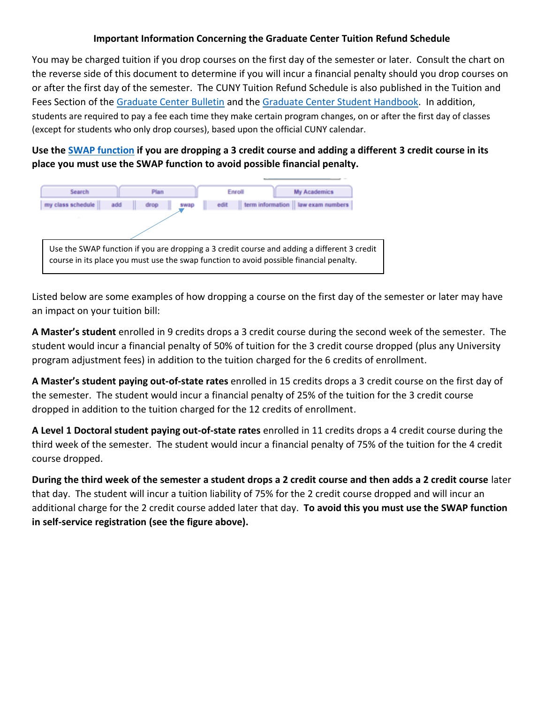# **Important Information Concerning the Graduate Center Tuition Refund Schedule**

You may be charged tuition if you drop courses on the first day of the semester or later. Consult the chart on the reverse side of this document to determine if you will incur a financial penalty should you drop courses on or after the first day of the semester. The CUNY Tuition Refund Schedule is also published in the Tuition and Fees Section of the [Graduate Center Bulletin](https://www.gc.cuny.edu/CUNY_GC/media/CUNY-Graduate-Center/PDF/Publications/Bulletin/Archives/Bulletin_2017-18.pdf) and the [Graduate Center Student Handbook.](https://www.gc.cuny.edu/CUNY_GC/media/CUNY-Graduate-Center/PDF/Publications/Student_Handbook_web.pdf?ext=.pdf) In addition, students are required to pay a fee each time they make certain program changes, on or after the first day of classes (except for students who only drop courses), based upon the official CUNY calendar.

**Use the SWAP [function](http://www.cuny.edu/about/administration/offices/CIS/CUNYfirst/training/students/Swap_Classes.pdf) if you are dropping a 3 credit course and adding a different 3 credit course in its place you must use the SWAP function to avoid possible financial penalty.**



Listed below are some examples of how dropping a course on the first day of the semester or later may have an impact on your tuition bill:

**A Master's student** enrolled in 9 credits drops a 3 credit course during the second week of the semester. The student would incur a financial penalty of 50% of tuition for the 3 credit course dropped (plus any University program adjustment fees) in addition to the tuition charged for the 6 credits of enrollment.

**A Master's student paying out-of-state rates** enrolled in 15 credits drops a 3 credit course on the first day of the semester. The student would incur a financial penalty of 25% of the tuition for the 3 credit course dropped in addition to the tuition charged for the 12 credits of enrollment.

**A Level 1 Doctoral student paying out-of-state rates** enrolled in 11 credits drops a 4 credit course during the third week of the semester. The student would incur a financial penalty of 75% of the tuition for the 4 credit course dropped.

**During the third week of the semester a student drops a 2 credit course and then adds a 2 credit course** later that day. The student will incur a tuition liability of 75% for the 2 credit course dropped and will incur an additional charge for the 2 credit course added later that day. **To avoid this you must use the SWAP function in self-service registration (see the figure above).**